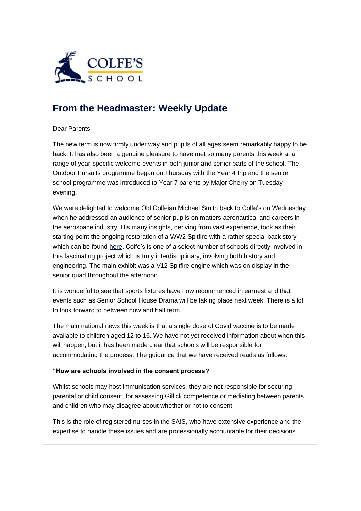

## **[From the Headmaster: Weekly Update](https://urlsand.esvalabs.com/?u=https%3A%2F%2Fschoolpostcdn.blob.core.windows.net%2Fpublic%2F~%2Femail-test-message.html&e=f4e25f66&h=847ca343&f=y&p=y)**

## Dear Parents

The new term is now firmly under way and pupils of all ages seem remarkably happy to be back. It has also been a genuine pleasure to have met so many parents this week at a range of year-specific welcome events in both junior and senior parts of the school. The Outdoor Pursuits programme began on Thursday with the Year 4 trip and the senior school programme was introduced to Year 7 parents by Major Cherry on Tuesday evening.

We were delighted to welcome Old Colfeian Michael Smith back to Colfe's on Wednesday when he addressed an audience of senior pupils on matters aeronautical and careers in the aerospace industry. His many insights, deriving from vast experience, took as their starting point the ongoing restoration of a WW2 Spitfire with a rather special back story which can be found [here.](https://urlsand.esvalabs.com/?u=http%3A%2F%2Fwww.spitfireaa810.co.uk&e=f4e25f66&h=894daece&f=y&p=y) Colfe's is one of a select number of schools directly involved in this fascinating project which is truly interdisciplinary, involving both history and engineering. The main exhibit was a V12 Spitfire engine which was on display in the senior quad throughout the afternoon.

It is wonderful to see that sports fixtures have now recommenced in earnest and that events such as Senior School House Drama will be taking place next week. There is a lot to look forward to between now and half term.

The main national news this week is that a single dose of Covid vaccine is to be made available to children aged 12 to 16. We have not yet received information about when this will happen, but it has been made clear that schools will be responsible for accommodating the process. The guidance that we have received reads as follows:

## **"How are schools involved in the consent process?**

Whilst schools may host immunisation services, they are not responsible for securing parental or child consent, for assessing Gillick competence or mediating between parents and children who may disagree about whether or not to consent.

This is the role of registered nurses in the SAIS, who have extensive experience and the expertise to handle these issues and are professionally accountable for their decisions.